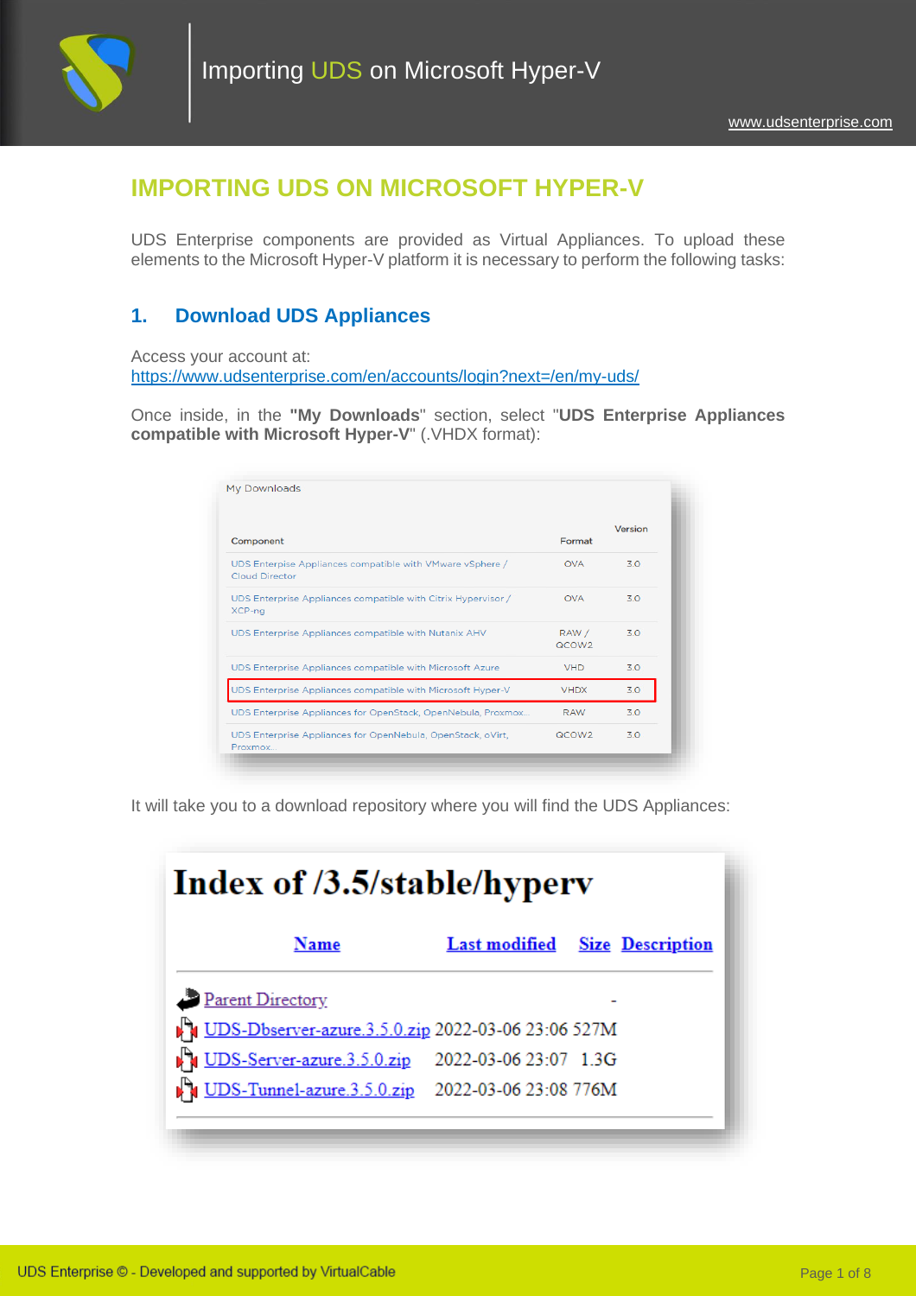

# **IMPORTING UDS ON MICROSOFT HYPER-V**

UDS Enterprise components are provided as Virtual Appliances. To upload these elements to the Microsoft Hyper-V platform it is necessary to perform the following tasks:

## **1. Download UDS Appliances**

Access your account at:

<https://www.udsenterprise.com/en/accounts/login?next=/en/my-uds/>

Once inside, in the **"My Downloads**" section, select "**UDS Enterprise Appliances compatible with Microsoft Hyper-V**" (.VHDX format):

|                                                                                    |                            | Version |
|------------------------------------------------------------------------------------|----------------------------|---------|
| Component                                                                          | Format                     |         |
| UDS Enterpise Appliances compatible with VMware vSphere /<br><b>Cloud Director</b> | <b>OVA</b>                 | 3.0     |
| UDS Enterprise Appliances compatible with Citrix Hypervisor /<br>XCP-ng            | <b>OVA</b>                 | 30      |
| UDS Enterprise Appliances compatible with Nutanix AHV                              | RAW /<br>QCOW <sub>2</sub> | 30      |
| UDS Enterprise Appliances compatible with Microsoft Azure                          | <b>VHD</b>                 | 3.0     |
| UDS Enterprise Appliances compatible with Microsoft Hyper-V                        | <b>VHDX</b>                | 3.0     |
| UDS Enterprise Appliances for OpenStack, OpenNebula, Proxmox                       | <b>RAW</b>                 | 30      |
| UDS Enterprise Appliances for OpenNebula, OpenStack, oVirt,<br>Proxmox             | QCOW <sub>2</sub>          | 3.0     |

It will take you to a download repository where you will find the UDS Appliances:

| <b>Index of /3.5/stable/hyperv</b>                 |                       |                                       |  |
|----------------------------------------------------|-----------------------|---------------------------------------|--|
| Name                                               |                       | <b>Last modified</b> Size Description |  |
| Parent Directory                                   |                       |                                       |  |
| UDS-Dbserver-azure.3.5.0.zip 2022-03-06 23:06 527M |                       |                                       |  |
| UDS-Server-azure.3.5.0.zip                         | 2022-03-06 23:07 1.3G |                                       |  |
| <b>DEX</b> UDS-Tunnel-azure.3.5.0.zip              | 2022-03-06 23:08 776M |                                       |  |
|                                                    |                       |                                       |  |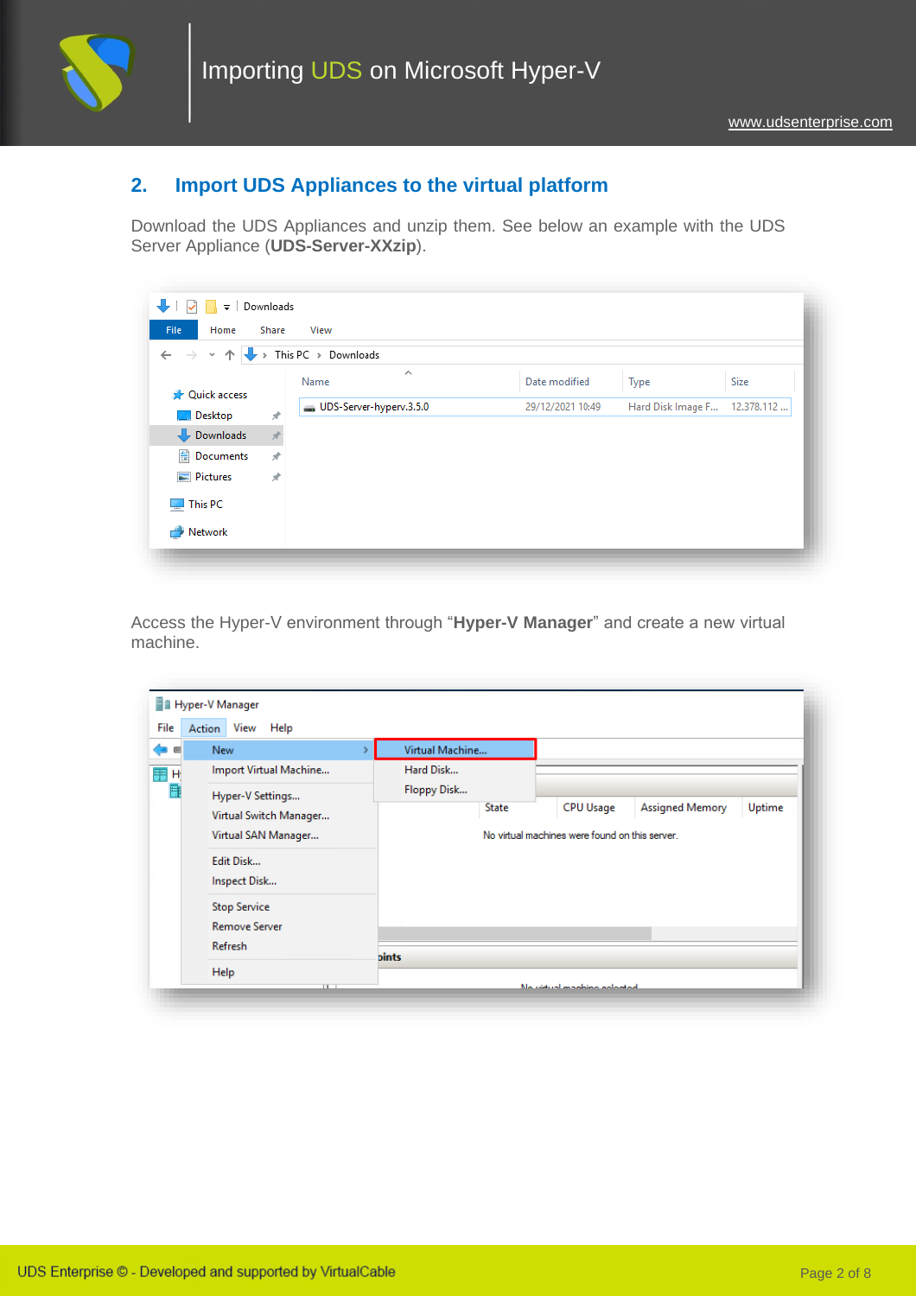

## **2. Import UDS Appliances to the virtual platform**

Download the UDS Appliances and unzip them. See below an example with the UDS Server Appliance (**UDS-Server-XXzip**).

| $\rightarrow$<br>$\checkmark$      | $\rightarrow$ | This PC > Downloads     |                  |                   |            |
|------------------------------------|---------------|-------------------------|------------------|-------------------|------------|
| <b>A</b> Quick access              |               | ∧<br>Name               | Date modified    | Type              | Size       |
| <b>Desktop</b>                     | $\mathcal{R}$ | UDS-Server-hyperv.3.5.0 | 29/12/2021 10:49 | Hard Disk Image F | 12.378.112 |
| $\overline{\phantom{a}}$ Downloads |               |                         |                  |                   |            |
| 图 Documents                        | $\pi$         |                         |                  |                   |            |
| Pictures                           | $\mathcal{R}$ |                         |                  |                   |            |
| $\Box$ This PC                     |               |                         |                  |                   |            |
| ÷<br>Network                       |               |                         |                  |                   |            |

Access the Hyper-V environment through "**Hyper-V Manager**" and create a new virtual machine.

| Virtual Machine<br><b>New</b><br>画<br>ь<br>Import Virtual Machine<br>Hard Disk<br>Н<br>Floppy Disk<br>Ħ<br>Hyper-V Settings<br><b>CPU Usage</b><br>Assigned Memory<br>Uptime<br><b>State</b><br>Virtual Switch Manager<br>No virtual machines were found on this server.<br>Virtual SAN Manager<br>Edit Disk<br>Inspect Disk<br><b>Stop Service</b><br><b>Remove Server</b><br>Refresh<br><b>pints</b> |    |  |  |  |  |
|--------------------------------------------------------------------------------------------------------------------------------------------------------------------------------------------------------------------------------------------------------------------------------------------------------------------------------------------------------------------------------------------------------|----|--|--|--|--|
|                                                                                                                                                                                                                                                                                                                                                                                                        | دا |  |  |  |  |
|                                                                                                                                                                                                                                                                                                                                                                                                        | 龍  |  |  |  |  |
|                                                                                                                                                                                                                                                                                                                                                                                                        |    |  |  |  |  |
|                                                                                                                                                                                                                                                                                                                                                                                                        |    |  |  |  |  |
|                                                                                                                                                                                                                                                                                                                                                                                                        |    |  |  |  |  |
|                                                                                                                                                                                                                                                                                                                                                                                                        |    |  |  |  |  |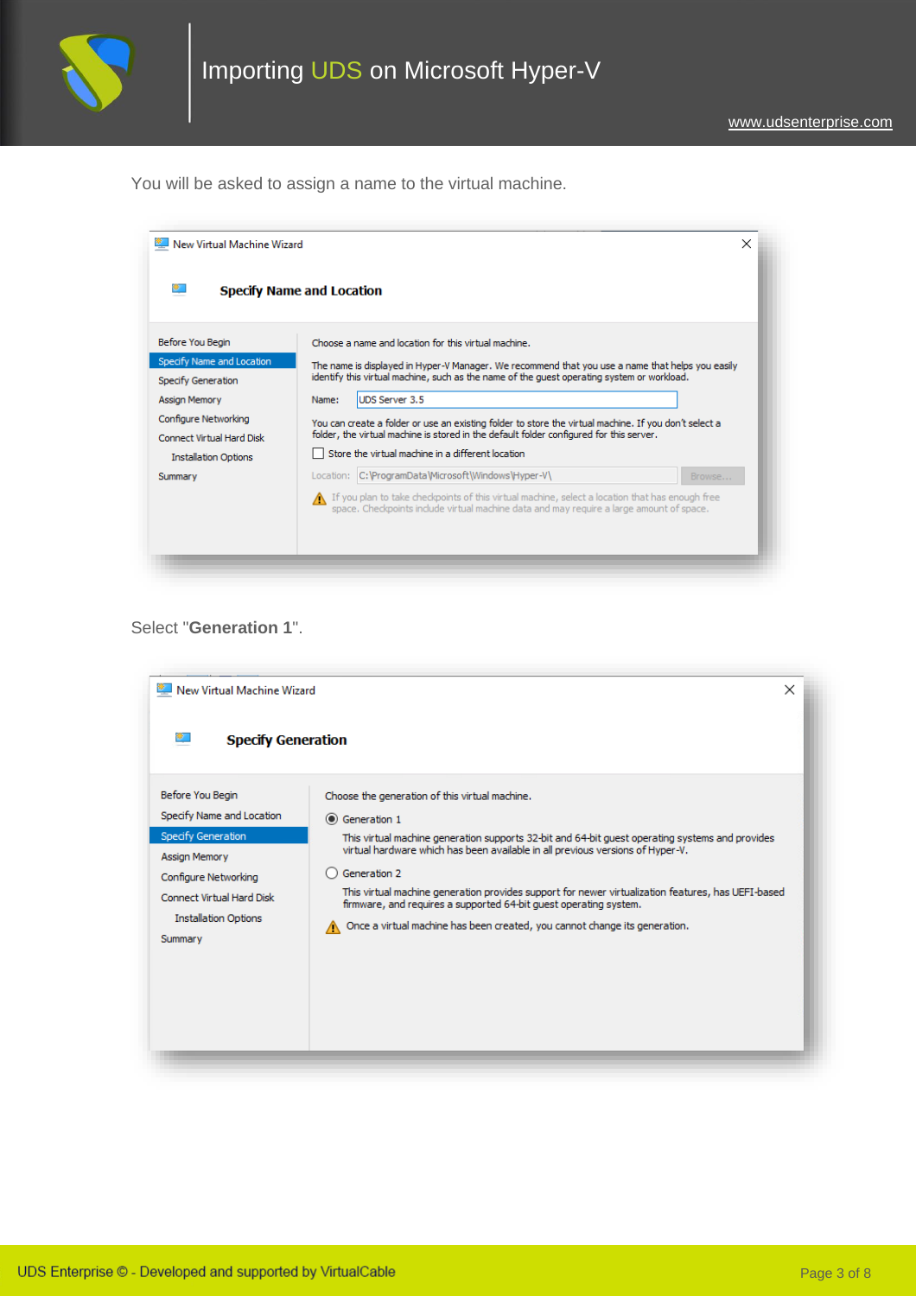

You will be asked to assign a name to the virtual machine.

|                                                   | <b>Specify Name and Location</b>                                                                                                                                                                 |
|---------------------------------------------------|--------------------------------------------------------------------------------------------------------------------------------------------------------------------------------------------------|
| Before You Begin                                  | Choose a name and location for this virtual machine.                                                                                                                                             |
| Specify Name and Location<br>Specify Generation   | The name is displayed in Hyper-V Manager. We recommend that you use a name that helps you easily<br>identify this virtual machine, such as the name of the quest operating system or workload.   |
| <b>Assign Memory</b>                              | <b>UDS Server 3.5</b><br>Name:                                                                                                                                                                   |
| Configure Networking<br>Connect Virtual Hard Disk | You can create a folder or use an existing folder to store the virtual machine. If you don't select a<br>folder, the virtual machine is stored in the default folder configured for this server. |
| <b>Installation Options</b>                       | Store the virtual machine in a different location                                                                                                                                                |
| Summary                                           | Location: C:\ProgramData\Microsoft\Windows\Hyper-V\<br>Browse                                                                                                                                    |
|                                                   | 16 If you plan to take checkpoints of this virtual machine, select a location that has enough free<br>space. Checkpoints include virtual machine data and may require a large amount of space.   |

### Select "**Generation 1**".

| New Virtual Machine Wizard      | ×                                                                                                  |
|---------------------------------|----------------------------------------------------------------------------------------------------|
| œ.<br><b>Specify Generation</b> |                                                                                                    |
| Before You Begin                | Choose the generation of this virtual machine.                                                     |
| Specify Name and Location       | ◉ Generation 1                                                                                     |
| Specify Generation              | This virtual machine generation supports 32-bit and 64-bit guest operating systems and provides    |
| <b>Assign Memory</b>            | virtual hardware which has been available in all previous versions of Hyper-V.                     |
| Configure Networking            | Generation 2                                                                                       |
| Connect Virtual Hard Disk       | This virtual machine generation provides support for newer virtualization features, has UEFI-based |
| <b>Installation Options</b>     | firmware, and requires a supported 64-bit quest operating system.                                  |
| Summary                         | Once a virtual machine has been created, you cannot change its generation.                         |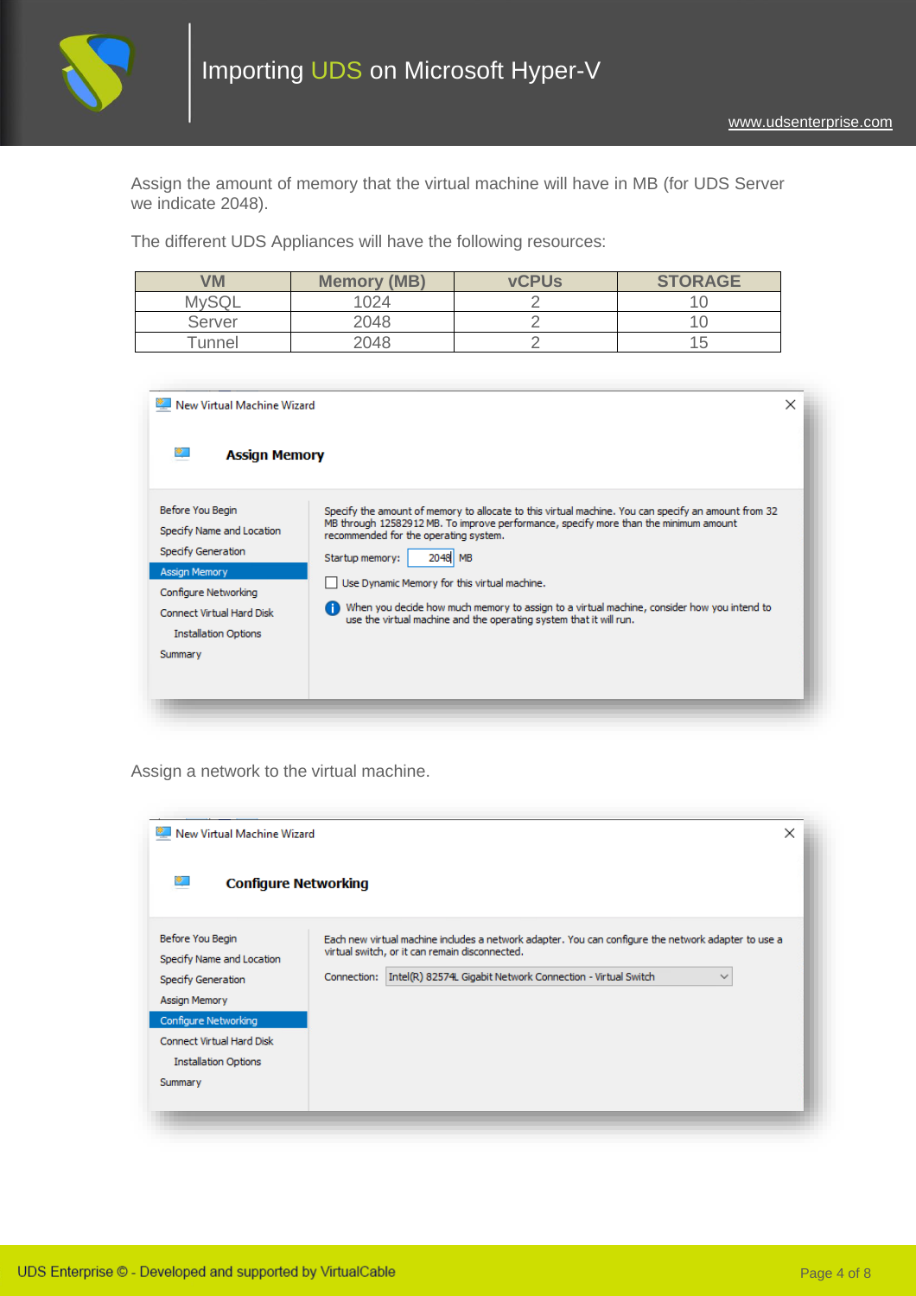

Assign the amount of memory that the virtual machine will have in MB (for UDS Server we indicate 2048).

The different UDS Appliances will have the following resources:

| VM           | <b>Memory (MB)</b> | <b>vCPUs</b> | <b>STORAGE</b> |
|--------------|--------------------|--------------|----------------|
| <b>MySQL</b> | 024                |              |                |
| Server       | 2048               |              |                |
| $\tau$ unnel | 2048               |              | $\overline{ }$ |

| $\mathsf{\mathsf{I}}$ New Virtual Machine Wizard                                                                                                                                           | $\times$                                                                                                                                                                                                                                                                                                                                                                                                                                                                               |
|--------------------------------------------------------------------------------------------------------------------------------------------------------------------------------------------|----------------------------------------------------------------------------------------------------------------------------------------------------------------------------------------------------------------------------------------------------------------------------------------------------------------------------------------------------------------------------------------------------------------------------------------------------------------------------------------|
| <b>Assign Memory</b>                                                                                                                                                                       |                                                                                                                                                                                                                                                                                                                                                                                                                                                                                        |
| Before You Begin<br>Specify Name and Location<br>Specify Generation<br><b>Assign Memory</b><br>Configure Networking<br>Connect Virtual Hard Disk<br><b>Installation Options</b><br>Summary | Specify the amount of memory to allocate to this virtual machine. You can specify an amount from 32<br>MB through 12582912 MB. To improve performance, specify more than the minimum amount<br>recommended for the operating system.<br>2048 MB<br>Startup memory:<br>Use Dynamic Memory for this virtual machine.<br>When you decide how much memory to assign to a virtual machine, consider how you intend to<br>use the virtual machine and the operating system that it will run. |

Assign a network to the virtual machine.

| New Virtual Machine Wizard<br><b>第二</b><br><b>Configure Networking</b>                                                                                                              | ×                                                                                                                                                                                                                                                   |
|-------------------------------------------------------------------------------------------------------------------------------------------------------------------------------------|-----------------------------------------------------------------------------------------------------------------------------------------------------------------------------------------------------------------------------------------------------|
| Before You Begin<br>Specify Name and Location<br>Specify Generation<br>Assign Memory<br>Configure Networking<br>Connect Virtual Hard Disk<br><b>Installation Options</b><br>Summary | Each new virtual machine includes a network adapter. You can configure the network adapter to use a<br>virtual switch, or it can remain disconnected.<br>Intel(R) 82574L Gigabit Network Connection - Virtual Switch<br>Connection:<br>$\checkmark$ |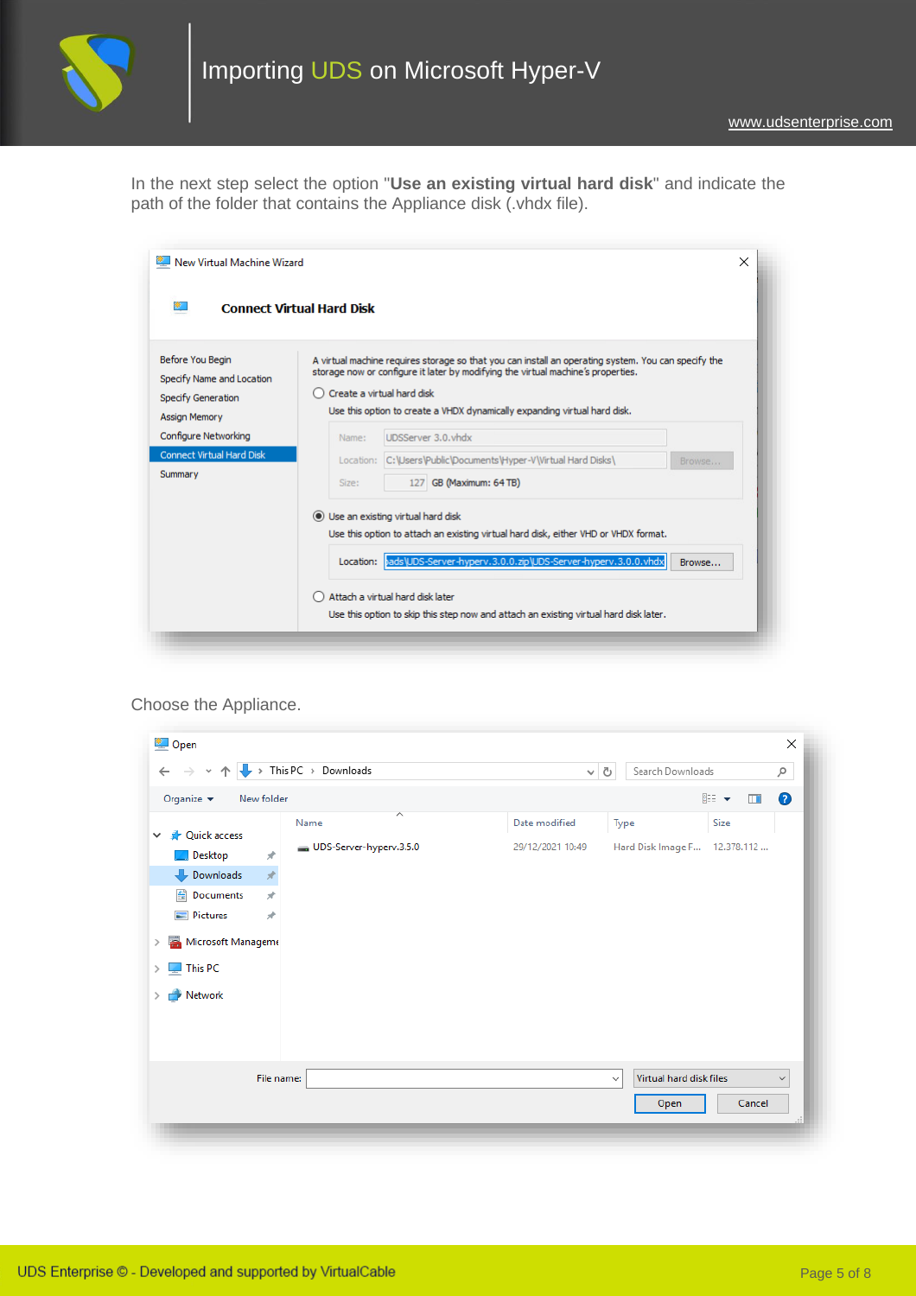

In the next step select the option "**Use an existing virtual hard disk**" and indicate the path of the folder that contains the Appliance disk (.vhdx file).

| New Virtual Machine Wizard<br>新门                                                     | ×<br><b>Connect Virtual Hard Disk</b>                                                                                                                                                                                                                                                                |
|--------------------------------------------------------------------------------------|------------------------------------------------------------------------------------------------------------------------------------------------------------------------------------------------------------------------------------------------------------------------------------------------------|
| Before You Begin<br>Specify Name and Location<br>Specify Generation                  | A virtual machine requires storage so that you can install an operating system. You can specify the<br>storage now or configure it later by modifying the virtual machine's properties.<br>○ Create a virtual hard disk<br>Use this option to create a VHDX dynamically expanding virtual hard disk. |
| <b>Assign Memory</b><br>Configure Networking<br>Connect Virtual Hard Disk<br>Summary | UDSServer 3.0. vhdx<br>Name:<br>C: \Users\Public\Documents\Hyper-V\Virtual Hard Disks\<br>Location:<br>Browse<br>127 GB (Maximum: 64 TB)<br>Size:                                                                                                                                                    |
|                                                                                      | (e) Use an existing virtual hard disk<br>Use this option to attach an existing virtual hard disk, either VHD or VHDX format.<br>bads\UDS-Server-hyperv.3.0.0.zip\UDS-Server-hyperv.3.0.0.vhdx<br>Location:<br>Browse                                                                                 |
|                                                                                      | Attach a virtual hard disk later<br>Use this option to skip this step now and attach an existing virtual hard disk later.                                                                                                                                                                            |

#### Choose the Appliance.

| Œ.<br>个<br>$\rightarrow$<br>$\leftarrow$<br>$\checkmark$                                                                                                        | $\rightarrow$ This PC $\rightarrow$ Downloads                               | $\sim$ 0                          | Search Downloads                                |                    | مر           |
|-----------------------------------------------------------------------------------------------------------------------------------------------------------------|-----------------------------------------------------------------------------|-----------------------------------|-------------------------------------------------|--------------------|--------------|
| Organize $\blacktriangledown$<br>New folder                                                                                                                     |                                                                             |                                   |                                                 | 距→<br>$\Box$       | 3            |
| <b>A</b> Quick access<br>$\checkmark$<br>Desktop<br>Downloads<br>兽<br>Documents<br>$\equiv$ Pictures<br>Microsoft Manageme<br>$\blacksquare$ This PC<br>Network | ᄉ<br>Name<br>UDS-Server-hyperv.3.5.0<br>À<br>$\frac{1}{\sqrt{2}}$<br>À<br>× | Date modified<br>29/12/2021 10:49 | Type<br>Hard Disk Image F                       | Size<br>12.378.112 |              |
|                                                                                                                                                                 | File name:                                                                  |                                   | Virtual hard disk files<br>$\checkmark$<br>Open | Cancel             | $\checkmark$ |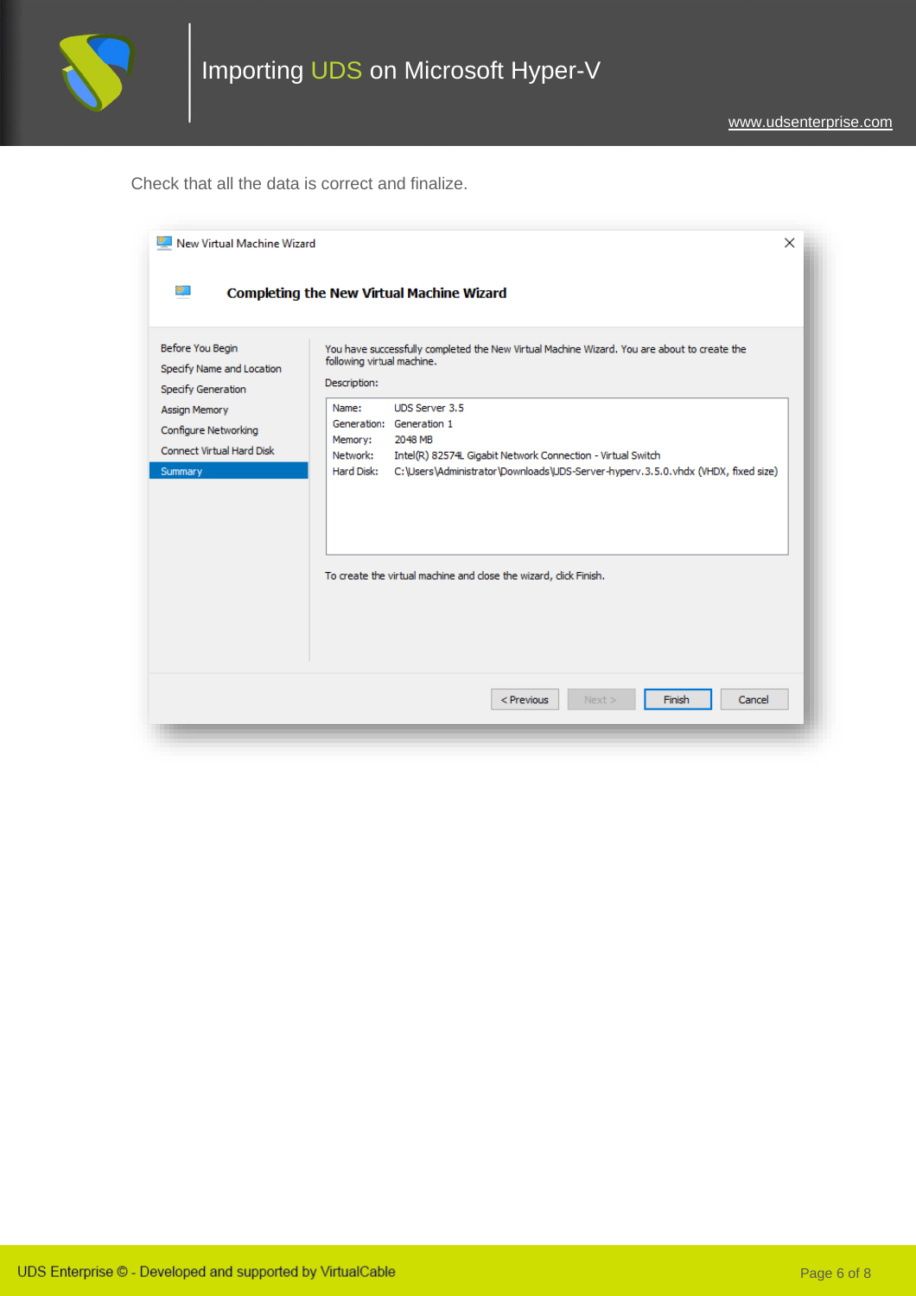

Check that all the data is correct and finalize.

| New Virtual Machine Wizard                                                | $\times$                                                                                                                                                    |
|---------------------------------------------------------------------------|-------------------------------------------------------------------------------------------------------------------------------------------------------------|
| W.                                                                        | <b>Completing the New Virtual Machine Wizard</b>                                                                                                            |
| Before You Begin<br>Specify Name and Location<br>Specify Generation       | You have successfully completed the New Virtual Machine Wizard. You are about to create the<br>following virtual machine.<br>Description:                   |
| Assign Memory<br>Configure Networking<br><b>Connect Virtual Hard Disk</b> | <b>UDS Server 3.5</b><br>Name:<br>Generation: Generation 1<br>2048 MB<br>Memory:<br>Network:<br>Intel(R) 82574L Gigabit Network Connection - Virtual Switch |
| Summary                                                                   | C:\Users\Administrator\Downloads\UDS-Server-hyperv.3.5.0.vhdx (VHDX, fixed size)<br>Hard Disk:                                                              |
|                                                                           | To create the virtual machine and close the wizard, click Finish.                                                                                           |
|                                                                           |                                                                                                                                                             |
|                                                                           | Finish<br>Cancel<br>$<$ Previous<br>Next                                                                                                                    |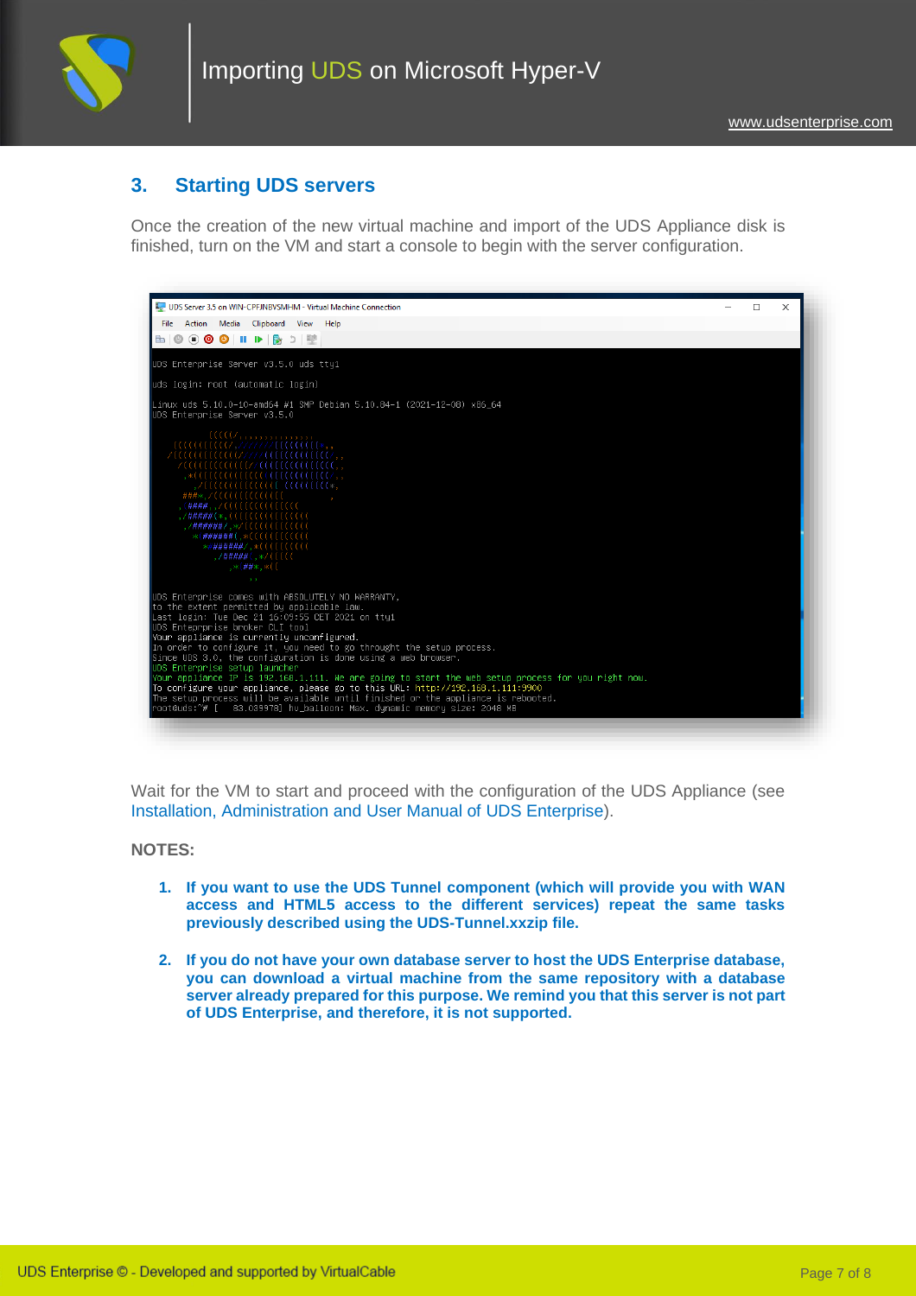

### **3. Starting UDS servers**

Once the creation of the new virtual machine and import of the UDS Appliance disk is finished, turn on the VM and start a console to begin with the server configuration.



Wait for the VM to start and proceed with the configuration of the UDS Appliance (see [Installation, Administration and User Manual of](https://www.udsenterprise.com/es/uds-enterprise/documentacion/) [UDS Enterprise\)](https://www.udsenterprise.com/en/uds-enterprise/documentation/).

#### **NOTES:**

- **1. If you want to use the UDS Tunnel component (which will provide you with WAN access and HTML5 access to the different services) repeat the same tasks previously described using the UDS-Tunnel.xxzip file.**
- **2. If you do not have your own database server to host the UDS Enterprise database, you can download a virtual machine from the same repository with a database server already prepared for this purpose. We remind you that this server is not part of UDS Enterprise, and therefore, it is not supported.**